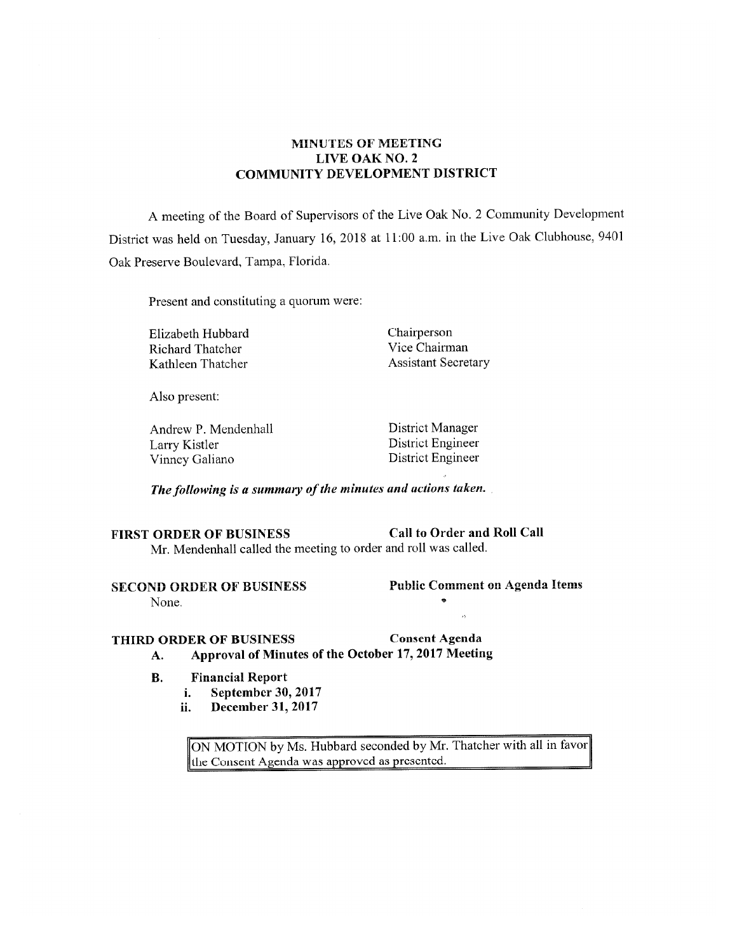### **MINUTES OF MEETING LIVE OAK NO. 2 COMMUNITY DEVELOPMENT DISTRICT**

A meeting of the Board of Supervisors of the Live Oak No. 2 Community Development District was held on Tuesday, January 16, 2018 at 11:00 a.m. in the Live Oak Clubhouse, 9401 Oak Preserve Boulevard, Tampa, Florida.

Present and constituting a quorum were:

Elizabeth Hubbard Chairperson Richard Thatcher Vice Chairman Kathleen Thatcher **Assistant Secretary** 

Also present:

Larry Kistler District Engineer<br>
Vinney Galiano<br>
District Engineer Vinney Galiano

Andrew P. Mendenhall District Manager

*The following is a summary ofthe minutes and actions taken.* 

### **FIRST ORDER OF BUSINESS Call to Order and Roll Call**

Mr. Mendenhall called the meeting to order and roll was called.

**SECOND ORDER OF BUSINESS Public Comment on Agenda Items** 

None.

### **THIRD ORDER OF BUSINESS Consent Agenda**

# **A. Approval of Minutes of the October 17, 2017 Meeting**

- **B. Financial Report** 
	- i. **September 30, 2017**
	- ii. **December 31, 2017**

ON MOTION by Ms. Hubbard seconded by Mr. Thatcher with all in favor the Consent Agenda was approved as presented.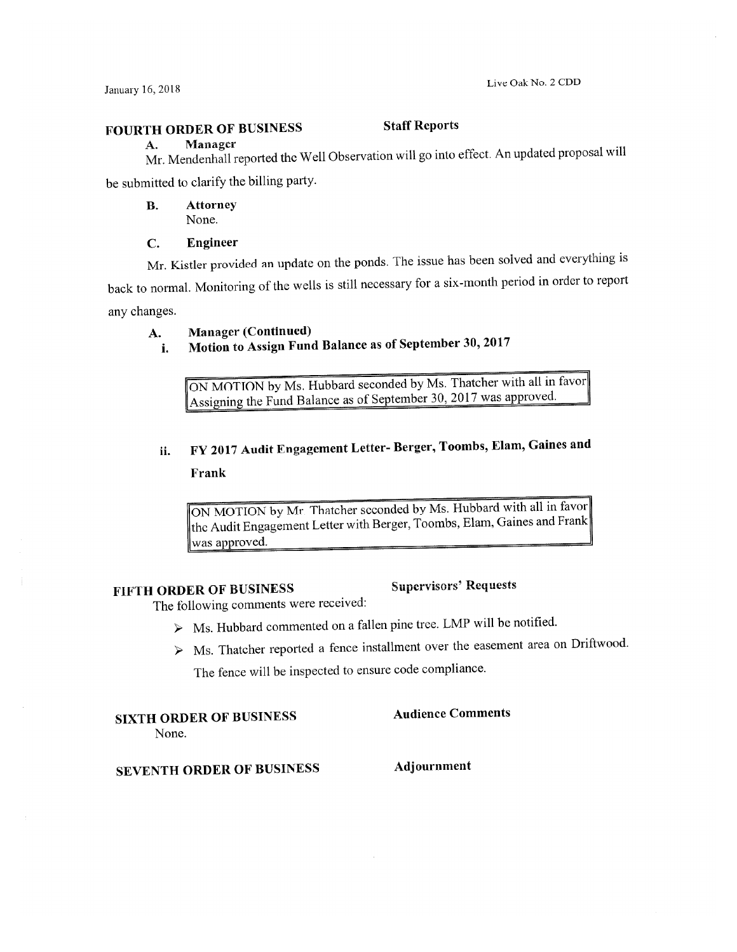January 16, 2018

## **FOURTH ORDER OF BUSINESS Staff Reports**

**A. Manager**  Mr. Mendenhall reported the Well Observation will go into effect. An updated proposal will be submitted to clarify the billing party.

**B. Attorney** 

None.

### **C. Engineer**

Mr. Kistler provided an update on the ponds. The issue has been solved and everything is back to normal. Monitoring of the wells is still necessary for a six-month period in order to report any changes.

### **A. Manager (Continued)**

## i. **Motion to Assign Fund Balance as of September 30, 2017**

ON MOTION by Ms. Hubbard seconded by Ms. Thatcher with all in favor Assigning the Fund Balance as of September 30, 2017 was approved.

## ii. **FY 2017 Audit Engagement Letter- Berger, Toombs, Elam, Gaines and Frank**

ON MOTION by Mr. Thatcher seconded by Ms. Hubbard with all in favor the Audit Engagement Letter with Berger, Toombs, Elam, Gaines and Frank was approved.

## **FIFTH ORDER OF BUSINESS Supervisors' Requests**

The following comments were received:

- ► Ms. Hubbard commented on a fallen pine tree. LMP will be notified.
- ► Ms. Thatcher reported a fence installment over the easement area on Driftwood.

The fence will be inspected to ensure code compliance.

**SIXTH ORDER OF BUSINESS Audience Comments** 

None.

**SEVENTH ORDER OF BUSINESS Adjournment**